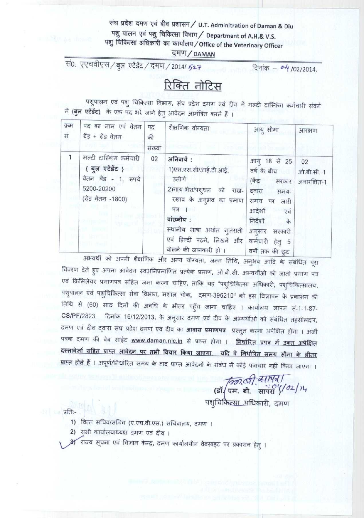### संघ प्रदेश दमण एवं दीव प्रशासन / U.T. Adminitration of Daman & Diu पशु पालन एवं पशु चिकित्सा विभाग / Department of A.H.& V.S. पशु चिकित्सा अधिकारी का कार्यालय/Office of the Veterinary Officer

दमण/DAMAN

सं0. एएचवीएस / बुल एटेंडेंट / दमण / 2014/ 527

दिनांक - <sup>04</sup>/02/2014.

## <u>रिक्ति नोटिस</u>

पशुपालन एवं पशु चिकित्सा विभाग, संघ प्रदेश दमण एवं दीव में मल्टी टास्किंग कर्मचारी संवर्ग में (बुल एटेंडेंट) के एक पद भरे जाने हेतु आवेदन आमंत्रित करते हैं ।

| क्रम<br>सं | पद का नाम एवं वेतन<br>बैंड + ग्रेड वेतन                                                                 | पद<br>की<br>संख्या | शैक्षणिक योग्यता                                                                                                                                                                                                     | आयु सीमा                                                                                                                                                                 | आरक्षण                          |
|------------|---------------------------------------------------------------------------------------------------------|--------------------|----------------------------------------------------------------------------------------------------------------------------------------------------------------------------------------------------------------------|--------------------------------------------------------------------------------------------------------------------------------------------------------------------------|---------------------------------|
|            | मल्टी टास्किंग कर्मचारी<br>{ बुल एटेंडेंट }<br>वेतन बैंड - 1, रूपये<br>5200-20200<br>(ग्रेड वेतन -1800) | 02                 | अनिवार्य:<br>1) एस.एस.सी/आई.टी.आई.<br>उतीर्ण<br>2)गाय-भेश/पश्धन को<br>राख़-<br>रखाव के अनुभव का प्रमाण<br>पत्र ।<br>वांछनीय:<br>स्थानीय भाषा अर्थात गुजराती  <br>एवं हिन्दी पढ़ने, लिखने और<br>बोलने की जानकारी हो । | आयु 18 से 25<br>वर्ष के बीच<br>(केंद्र सरकार<br>दवारा<br>समय-<br>समय पर जारी<br>आदेशों<br>एवं<br>निर्देशों<br>के<br>अनुसार सरकारी<br>कर्मचारी हेतु 5<br>वर्षों तक की छूट | 02<br>ओ.बी.सी.-1<br>अनारक्षित-1 |

अभ्यर्थी को अपनी शैक्षणिक और अन्य योग्यता, जन्म तिथि, अनुभव आदि के संबंधित पूरा विवरण देते हुए अपना आवेदन स्वअनिप्रमाणित प्रत्येक प्रमाण, ओ.बी.सी. अभ्यर्थीओ को जाती प्रमाण पत्र एवं क्रिमिलेयर प्रमाणपत्र सहित जमा करना चाहिए, ताकि यह "पशुचिकित्सा अधिकारी, पशुचिकित्सालय, पशुपालन एवं पशुचिकित्सा सेवा विभाग, मशाल चोक, दमण-396210" को इस विज्ञापन के प्रकाशन की तिथि से (60) साठ दिनों की अवधि के भीतर पहुँच जाना चाहिए । कार्यालय ज्ञापन सं 1-1-87-दिनांक 16/12/2013, के अनुसार दमण एवं दीव के अभ्यर्थीओ को संबंधित तहसीलदार, **CS/PF/2823** दमण एवं दीव द्वारा संघ प्रदेश दमण एवं दीव का **आवास प्रमाणपत्र** प्रस्तुत करना अपेक्षित होगा । अर्जी पत्रक दमण की वेब साईट www.daman.nic.in से प्राप्त होगा । निर्धारित प्रपत्र में उक्त अपेक्षित <u>दस्तावेजों सहित प्राप्त आवेदन पर तभी विचार किया जाएगा. यदि वे निर्धारित समय सीमा के भीतर</u> <mark>प्राप्त होते हैं</mark> । अपूर्ण/निर्धारित समय के बाद प्राप्त आवेदनों के संबंध में कोई पत्राचार नहीं किया जाएगा ।

*किन्ना ठी, व्सापब)*<br>(डॉ. एम. बी. बार्परा ४/*०*2/१५)<br>पशुचिकित्<u>सा अ</u>धिकारी, दमण

्र प्रति:-

- 1) वित्त सचिव/सचिव (ए.एच.वी.एस.) सचिवालय, दमण ।
- 2) सभी कार्यालयाध्यक्ष दमण एवं दीव ।
- राज्य सूचना एवं विज्ञान केन्द्र, दमण कार्यालयीन वेबसाइट पर प्रकाशन हेतु ।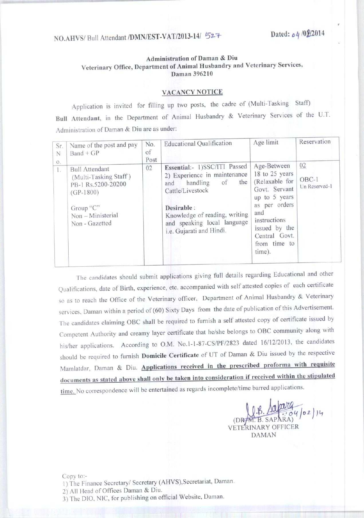# NO.AHVS/ Bull Attendant /DMN/EST-VAT/2013-14/ 527 Dated: *04* /01/2014

#### **Administration of Daman & Diu** Veterinary Office, **Department** of Animal Husbandry and Veterinary Services, Daman 396210

#### VACANCY NOTICE

Application is invited for filling up two posts, the cadre of (Multi-Tasking Staff) **Bull Attendant**. in the Department of Animal Husbandry & Veterinary Services of the U.T. Administration of Daman & Diu are as under:

| Sr.<br>N<br>0. | Name of the post and pay<br>$Band + GP$                                                                                                 | No.<br>of<br>Post | <b>Educational Qualification</b>                                                                                                                                                                                           | Age limit                                                                                                                                                                             | Reservation                    |
|----------------|-----------------------------------------------------------------------------------------------------------------------------------------|-------------------|----------------------------------------------------------------------------------------------------------------------------------------------------------------------------------------------------------------------------|---------------------------------------------------------------------------------------------------------------------------------------------------------------------------------------|--------------------------------|
| l s            | <b>Bull Attendant</b><br>(Multi-Tasking Staff)<br>PB-1 Rs.5200-20200<br>$(GP-1800)$<br>Group "C"<br>Non - Ministerial<br>Non - Gazetted | 02                | Essential:- 1)SSC/ITI Passed<br>2) Experience in maintenance<br>the<br>handling<br>of<br>and<br>Cattle/Livestock<br>Desirable:<br>Knowledge of reading, writing<br>and speaking local language<br>i.e. Gujarati and Hindi. | Age-Between<br>18 to 25 years<br>(Relaxable for<br>Govt. Servant<br>up to 5 years<br>as per orders<br>and<br>instructions<br>issued by the<br>Central Govt.<br>from time to<br>time). | 02<br>$OBC-1$<br>Un Reserved-1 |

The candidates should submit applications giving full details regarding Educational and other Qualifications, date of Birth, experience, etc. accompanied with self attested copies of each certificate so as to reach the Office of the Veterinary officer, Department of Animal Husbandry & Veterinary services, Daman within a period of (60) Sixty Days from the date of publication of this Advertisement. The candidates claiming OBC shall be required to furnish a self attested copy of certificate issued by Competent Authority and creamy layer certificate that he/she belongs to OBC community along with his/her applications. According to O.M. No.1-1-87-CS/PF/2823 dated 16/12/2013, the candidates should be required to furnish **Domicile Certificate** of UT of Daman & Diu issued by the respective Mamlatdar, Daman & Diu. **Applications received in the prescribed proforma with requisite documents as stated above shall only he taken into consideration if received within the stipulated** time. No correspondence will be entertained as regards incomplete/time barred applications.

(DRAM. B. SAPARA) VETERINARY OFFICER DAMAN

Copy to:- 1) The Finance Secretary/ Secretary (AHVS), **Secretariat**, **Daman.** 2) All Head of Offices **Daman & Diu.** 3) The DIO, NIC, for publishing on official Website, **Daman.**